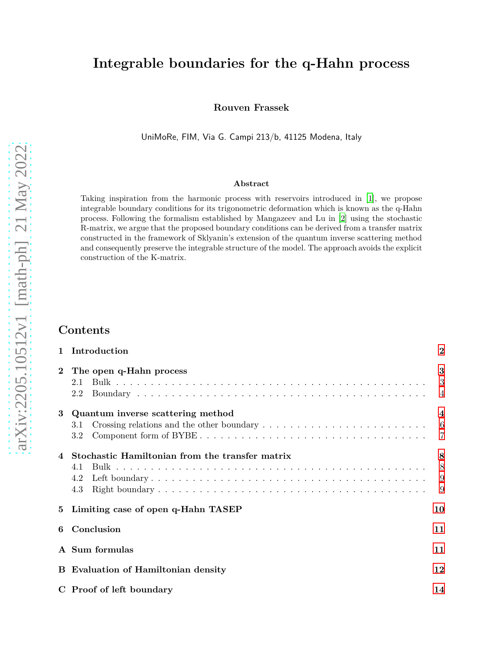# **Integrable boundaries for the q-Hahn process**

**Rouven Frassek**

UniMoRe, FIM, Via G. Campi 213/b, 41125 Modena, Italy

#### **Abstract**

Taking inspiration from the harmonic process with reservoirs introduced in [\[1](#page-14-0)], we propose integrable boundary conditions for its trigonometric deformation which is known as the q-Hahn process. Following the formalism established by Mangazeev and Lu in [\[2](#page-14-1)] using the stochastic R-matrix, we argue that the proposed boundary conditions can be derived from a transfer matrix constructed in the framework of Sklyanin's extension of the quantum inverse scattering method and consequently preserve the integrable structure of the model. The approach avoids the explicit construction of the K-matrix.

## **Contents**

|             | 1 Introduction                                                                                                                                               | $\overline{2}$                  |
|-------------|--------------------------------------------------------------------------------------------------------------------------------------------------------------|---------------------------------|
| $\bf{2}$    | The open q-Hahn process<br>2.1<br>2.2                                                                                                                        | 3<br>3<br>$\overline{4}$        |
| 3           | Quantum inverse scattering method<br>Crossing relations and the other boundary $\dots \dots \dots \dots \dots \dots \dots \dots \dots \dots$ 6<br>3.1<br>3.2 | $\overline{\mathbf{4}}$         |
|             | Stochastic Hamiltonian from the transfer matrix<br>4.1<br>4.2<br>4.3                                                                                         | 8<br>8 <sup>8</sup><br>-9<br>-9 |
| $5^{\circ}$ | Limiting case of open q-Hahn TASEP                                                                                                                           | 10                              |
| 6           | Conclusion                                                                                                                                                   | 11                              |
|             | A Sum formulas                                                                                                                                               | 11                              |
|             | <b>B</b> Evaluation of Hamiltonian density                                                                                                                   | 12                              |
|             | C Proof of left boundary                                                                                                                                     | 14                              |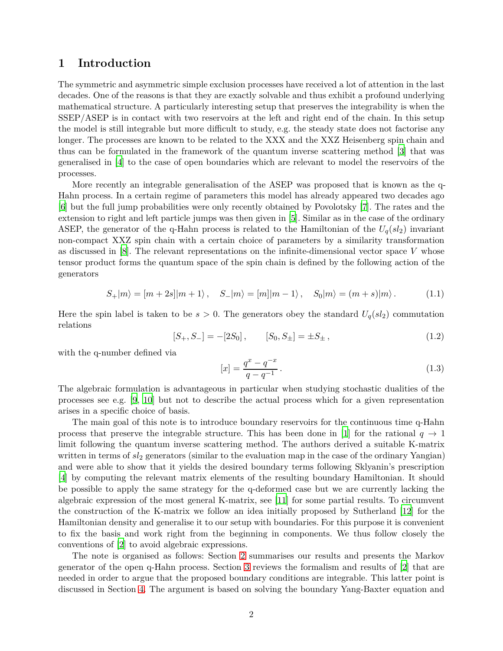### <span id="page-1-0"></span>**1 Introduction**

The symmetric and asymmetric simple exclusion processes have received a lot of attention in the last decades. One of the reasons is that they are exactly solvable and thus exhibit a profound underlying mathematical structure. A particularly interesting setup that preserves the integrability is when the  $SSEP/ASEP$  is in contact with two reservoirs at the left and right end of the chain. In this setup the model is still integrable but more difficult to study, e.g. the steady state does not factorise any longer. The processes are known to be related to the XXX and the XXZ Heisenberg spin chain and thus can be formulated in the framework of the quantum inverse scattering method [\[3](#page-14-2)] that was generalised in [\[4](#page-14-3)] to the case of open boundaries which are relevant to model the reservoirs of the processes.

More recently an integrable generalisation of the ASEP was proposed that is known as the q-Hahn process. In a certain regime of parameters this model has already appeared two decades ago [\[6](#page-14-4)] but the full jump probabilities were only recently obtained by Povolotsky [\[7\]](#page-14-5). The rates and the extension to right and left particle jumps was then given in [\[5\]](#page-14-6). Similar as in the case of the ordinary ASEP, the generator of the q-Hahn process is related to the Hamiltonian of the  $U_q(sl_2)$  invariant non-compact XXZ spin chain with a certain choice of parameters by a similarity transformation as discussed in [\[8](#page-14-7)]. The relevant representations on the infinite-dimensional vector space *V* whose tensor product forms the quantum space of the spin chain is defined by the following action of the generators

$$
S_{+}|m\rangle = |m+2s||m+1\rangle, \quad S_{-}|m\rangle = |m||m-1\rangle, \quad S_{0}|m\rangle = (m+s)|m\rangle. \tag{1.1}
$$

Here the spin label is taken to be  $s > 0$ . The generators obey the standard  $U_q(sl_2)$  commutation relations

<span id="page-1-1"></span>
$$
[S_+, S_-] = -[2S_0], \qquad [S_0, S_\pm] = \pm S_\pm, \tag{1.2}
$$

with the q-number defined via

$$
[x] = \frac{q^x - q^{-x}}{q - q^{-1}}.
$$
\n(1.3)

The algebraic formulation is advantageous in particular when studying stochastic dualities of the processes see e.g. [\[9](#page-14-8), [10](#page-14-9)] but not to describe the actual process which for a given representation arises in a specific choice of basis.

The main goal of this note is to introduce boundary reservoirs for the continuous time q-Hahn process that preserve the integrable structure. This has been done in [\[1\]](#page-14-0) for the rational  $q \to 1$ limit following the quantum inverse scattering method. The authors derived a suitable K-matrix written in terms of *sl*<sup>2</sup> generators (similar to the evaluation map in the case of the ordinary Yangian) and were able to show that it yields the desired boundary terms following Sklyanin's prescription [\[4](#page-14-3)] by computing the relevant matrix elements of the resulting boundary Hamiltonian. It should be possible to apply the same strategy for the q-deformed case but we are currently lacking the algebraic expression of the most general K-matrix, see [\[11](#page-14-10)] for some partial results. To circumvent the construction of the K-matrix we follow an idea initially proposed by Sutherland [\[12\]](#page-14-11) for the Hamiltonian density and generalise it to our setup with boundaries. For this purpose it is convenient to fix the basis and work right from the beginning in components. We thus follow closely the conventions of [\[2](#page-14-1)] to avoid algebraic expressions.

The note is organised as follows: Section [2](#page-2-0) summarises our results and presents the Markov generator of the open q-Hahn process. Section [3](#page-3-1) reviews the formalism and results of [\[2](#page-14-1)] that are needed in order to argue that the proposed boundary conditions are integrable. This latter point is discussed in Section [4.](#page-7-0) The argument is based on solving the boundary Yang-Baxter equation and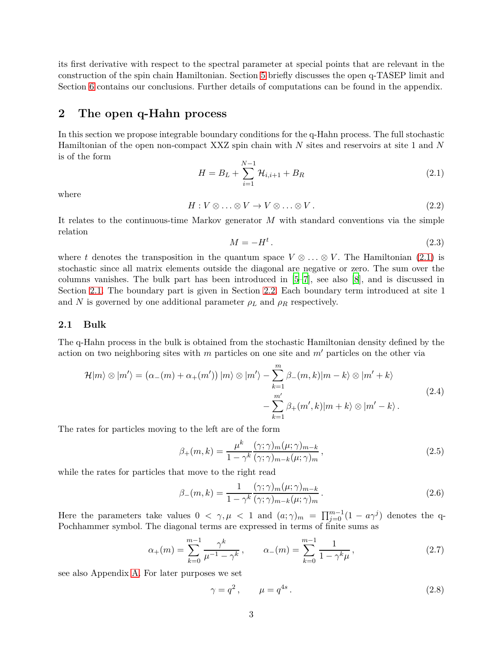its first derivative with respect to the spectral parameter at special points that are relevant in the construction of the spin chain Hamiltonian. Section [5](#page-9-0) briefly discusses the open q-TASEP limit and Section [6](#page-10-0) contains our conclusions. Further details of computations can be found in the appendix.

## <span id="page-2-0"></span>**2 The open q-Hahn process**

In this section we propose integrable boundary conditions for the q-Hahn process. The full stochastic Hamiltonian of the open non-compact XXZ spin chain with *N* sites and reservoirs at site 1 and *N* is of the form

<span id="page-2-2"></span>
$$
H = B_L + \sum_{i=1}^{N-1} \mathcal{H}_{i,i+1} + B_R
$$
\n(2.1)

where

$$
H: V \otimes \ldots \otimes V \to V \otimes \ldots \otimes V. \tag{2.2}
$$

It relates to the continuous-time Markov generator *M* with standard conventions via the simple relation

$$
M = -H^t. \tag{2.3}
$$

where *t* denotes the transposition in the quantum space  $V \otimes \ldots \otimes V$ . The Hamiltonian [\(2.1\)](#page-2-2) is stochastic since all matrix elements outside the diagonal are negative or zero. The sum over the columns vanishes. The bulk part has been introduced in [\[5](#page-14-6)[–7\]](#page-14-5), see also [\[8\]](#page-14-7), and is discussed in Section [2.1.](#page-2-1) The boundary part is given in Section [2.2.](#page-3-0) Each boundary term introduced at site 1 and *N* is governed by one additional parameter  $\rho_L$  and  $\rho_R$  respectively.

### <span id="page-2-1"></span>**2.1 Bulk**

The q-Hahn process in the bulk is obtained from the stochastic Hamiltonian density defined by the action on two neighboring sites with *m* particles on one site and *m*′ particles on the other via

$$
\mathcal{H}|m\rangle \otimes |m'\rangle = (\alpha_{-}(m) + \alpha_{+}(m')) |m\rangle \otimes |m'\rangle - \sum_{k=1}^{m} \beta_{-}(m,k)|m-k\rangle \otimes |m'+k\rangle
$$
  

$$
- \sum_{k=1}^{m'} \beta_{+}(m',k)|m+k\rangle \otimes |m'-k\rangle.
$$
 (2.4)

The rates for particles moving to the left are of the form

<span id="page-2-3"></span>
$$
\beta_{+}(m,k) = \frac{\mu^{k}}{1 - \gamma^{k}} \frac{(\gamma;\gamma)_{m}(\mu;\gamma)_{m-k}}{(\gamma;\gamma)_{m-k}(\mu;\gamma)_{m}},
$$
\n(2.5)

while the rates for particles that move to the right read

<span id="page-2-4"></span>
$$
\beta_{-}(m,k) = \frac{1}{1 - \gamma^k} \frac{(\gamma; \gamma)_m(\mu; \gamma)_{m-k}}{(\gamma; \gamma)_{m-k}(\mu; \gamma)_m}.
$$
\n(2.6)

Here the parameters take values  $0 < \gamma, \mu < 1$  and  $(a; \gamma)_m = \prod_{j=0}^{m-1} (1 - a\gamma^j)$  denotes the q-Pochhammer symbol. The diagonal terms are expressed in terms of finite sums as

<span id="page-2-5"></span>
$$
\alpha_{+}(m) = \sum_{k=0}^{m-1} \frac{\gamma^{k}}{\mu^{-1} - \gamma^{k}}, \qquad \alpha_{-}(m) = \sum_{k=0}^{m-1} \frac{1}{1 - \gamma^{k} \mu}, \qquad (2.7)
$$

see also Appendix [A.](#page-10-1) For later purposes we set

$$
\gamma = q^2, \qquad \mu = q^{4s}.
$$
\n
$$
(2.8)
$$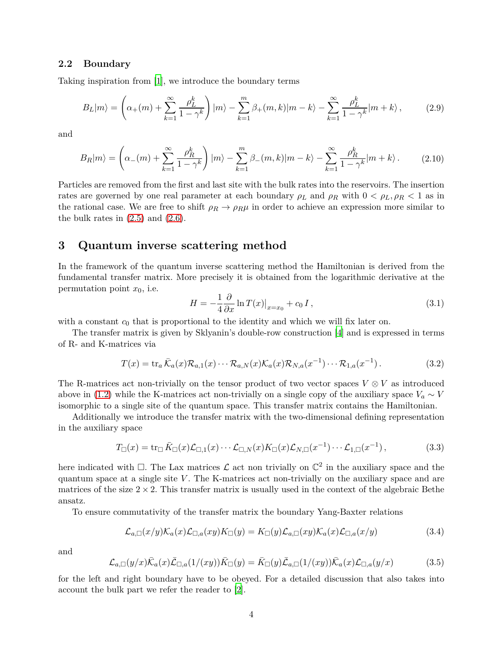#### <span id="page-3-0"></span>**2.2 Boundary**

<span id="page-3-7"></span>Taking inspiration from [\[1\]](#page-14-0), we introduce the boundary terms

$$
B_L|m\rangle = \left(\alpha_+(m) + \sum_{k=1}^{\infty} \frac{\rho_L^k}{1 - \gamma^k}\right)|m\rangle - \sum_{k=1}^m \beta_+(m, k)|m - k\rangle - \sum_{k=1}^{\infty} \frac{\rho_L^k}{1 - \gamma^k}|m + k\rangle, \tag{2.9}
$$

<span id="page-3-8"></span>and

$$
B_R|m\rangle = \left(\alpha_-(m) + \sum_{k=1}^{\infty} \frac{\rho_R^k}{1 - \gamma^k}\right)|m\rangle - \sum_{k=1}^m \beta_-(m,k)|m-k\rangle - \sum_{k=1}^{\infty} \frac{\rho_R^k}{1 - \gamma^k}|m+k\rangle.
$$
 (2.10)

Particles are removed from the first and last site with the bulk rates into the reservoirs. The insertion rates are governed by one real parameter at each boundary  $\rho_L$  and  $\rho_R$  with  $0 < \rho_L, \rho_R < 1$  as in the rational case. We are free to shift  $\rho_R \to \rho_R \mu$  in order to achieve an expression more similar to the bulk rates in  $(2.5)$  and  $(2.6)$ .

### <span id="page-3-1"></span>**3 Quantum inverse scattering method**

In the framework of the quantum inverse scattering method the Hamiltonian is derived from the fundamental transfer matrix. More precisely it is obtained from the logarithmic derivative at the permutation point  $x_0$ , i.e.

<span id="page-3-6"></span>
$$
H = -\frac{1}{4} \frac{\partial}{\partial x} \ln T(x)|_{x=x_0} + c_0 I,
$$
\n(3.1)

with a constant  $c_0$  that is proportional to the identity and which we will fix later on.

The transfer matrix is given by Sklyanin's double-row construction [\[4\]](#page-14-3) and is expressed in terms of R- and K-matrices via

<span id="page-3-3"></span>
$$
T(x) = \operatorname{tr}_a \overline{\mathcal{K}}_a(x) \mathcal{R}_{a,1}(x) \cdots \mathcal{R}_{a,N}(x) \mathcal{K}_a(x) \mathcal{R}_{N,a}(x^{-1}) \cdots \mathcal{R}_{1,a}(x^{-1}). \tag{3.2}
$$

The R-matrices act non-trivially on the tensor product of two vector spaces  $V \otimes V$  as introduced above in [\(1.2\)](#page-1-1) while the K-matrices act non-trivially on a single copy of the auxiliary space  $V_a \sim V$ isomorphic to a single site of the quantum space. This transfer matrix contains the Hamiltonian.

Additionally we introduce the transfer matrix with the two-dimensional defining representation in the auxiliary space

<span id="page-3-4"></span>
$$
T_{\Box}(x) = \text{tr}_{\Box} \bar{K}_{\Box}(x) \mathcal{L}_{\Box,1}(x) \cdots \mathcal{L}_{\Box,N}(x) K_{\Box}(x) \mathcal{L}_{N,\Box}(x^{-1}) \cdots \mathcal{L}_{1,\Box}(x^{-1}), \qquad (3.3)
$$

here indicated with  $\Box$ . The Lax matrices  $\mathcal L$  act non trivially on  $\mathbb C^2$  in the auxiliary space and the quantum space at a single site *V*. The K-matrices act non-trivially on the auxiliary space and are matrices of the size  $2 \times 2$ . This transfer matrix is usually used in the context of the algebraic Bethe ansatz.

To ensure commutativity of the transfer matrix the boundary Yang-Baxter relations

<span id="page-3-5"></span>
$$
\mathcal{L}_{a,\Box}(x/y)\mathcal{K}_{a}(x)\mathcal{L}_{\Box,a}(xy)K_{\Box}(y) = K_{\Box}(y)\mathcal{L}_{a,\Box}(xy)\mathcal{K}_{a}(x)\mathcal{L}_{\Box,a}(x/y) \tag{3.4}
$$

and

<span id="page-3-2"></span>
$$
\mathcal{L}_{a,\Box}(y/x)\bar{\mathcal{K}}_a(x)\bar{\mathcal{L}}_{\Box,a}(1/(xy))\bar{\mathcal{K}}_{\Box}(y) = \bar{\mathcal{K}}_{\Box}(y)\bar{\mathcal{L}}_{a,\Box}(1/(xy))\bar{\mathcal{K}}_a(x)\mathcal{L}_{\Box,a}(y/x) \tag{3.5}
$$

for the left and right boundary have to be obeyed. For a detailed discussion that also takes into account the bulk part we refer the reader to [\[2](#page-14-1)].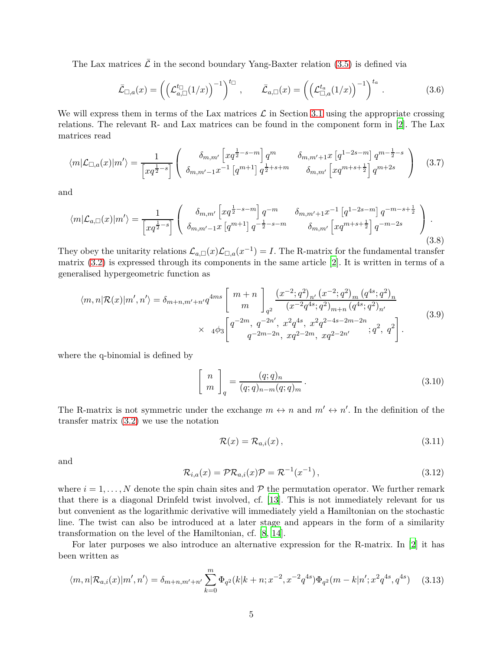The Lax matrices  $\bar{\mathcal{L}}$  in the second boundary Yang-Baxter relation [\(3.5\)](#page-3-2) is defined via

$$
\bar{\mathcal{L}}_{\Box,a}(x) = \left( \left( \mathcal{L}_{a,\Box}^{t_{\Box}}(1/x) \right)^{-1} \right)^{t_{\Box}}, \qquad \bar{\mathcal{L}}_{a,\Box}(x) = \left( \left( \mathcal{L}_{\Box,a}^{t_{a}}(1/x) \right)^{-1} \right)^{t_{a}}.
$$
 (3.6)

We will express them in terms of the Lax matrices  $\mathcal L$  in Section [3.1](#page-5-0) using the appropriate crossing relations. The relevant R- and Lax matrices can be found in the component form in [\[2](#page-14-1)]. The Lax matrices read

$$
\langle m|\mathcal{L}_{\Box,a}(x)|m'\rangle = \frac{1}{\left[xq^{\frac{1}{2}-s}\right]} \left( \begin{array}{cc} \delta_{m,m'} \left[xq^{\frac{1}{2}-s-m}\right] q^m & \delta_{m,m'+1}x \left[q^{1-2s-m}\right] q^{m-\frac{1}{2}-s} \\ \delta_{m,m'-1}x^{-1} \left[q^{m+1}\right] q^{\frac{1}{2}+s+m} & \delta_{m,m'} \left[xq^{m+s+\frac{1}{2}}\right] q^{m+2s} \end{array} \right) \tag{3.7}
$$

and

$$
\langle m|\mathcal{L}_{a,\Box}(x)|m'\rangle = \frac{1}{\left[xq^{\frac{1}{2}-s}\right]} \left( \begin{array}{cc} \delta_{m,m'} \left[xq^{\frac{1}{2}-s-m}\right]q^{-m} & \delta_{m,m'+1}x^{-1} \left[q^{1-2s-m}\right]q^{-m-s+\frac{1}{2}}\\ \delta_{m,m'-1}x \left[q^{m+1}\right]q^{-\frac{1}{2}-s-m} & \delta_{m,m'} \left[xq^{m+s+\frac{1}{2}}\right]q^{-m-2s} \end{array} \right) . \tag{3.8}
$$

They obey the unitarity relations  $\mathcal{L}_{a,\Box}(x)\mathcal{L}_{\Box,a}(x^{-1})=I$ . The R-matrix for the fundamental transfer matrix [\(3.2\)](#page-3-3) is expressed through its components in the same article [\[2](#page-14-1)]. It is written in terms of a generalised hypergeometric function as

$$
\langle m,n|\mathcal{R}(x)|m',n'\rangle = \delta_{m+n,m'+n'}q^{4ms} \left[ \begin{array}{c} m+n \\ m \end{array} \right]_{q^2} \frac{(x^{-2};q^2)_{n'}(x^{-2};q^2)_{m}(q^{4s};q^2)_{n'}}{(x^{-2}q^{4s};q^2)_{m+n}(q^{4s};q^2)_{n'}}
$$
  
 
$$
\times 4\phi_3 \left[ \begin{array}{c} q^{-2m}, q^{-2n'}, x^2q^{4s}, x^2q^{2-4s-2m-2n} \\ q^{-2m-2n}, xq^{2-2m}, xq^{2-2n'} \end{array} ; q^2, q^2 \right].
$$
 (3.9)

where the q-binomial is defined by

$$
\left[\begin{array}{c} n \\ m \end{array}\right]_q = \frac{(q;q)_n}{(q;q)_{n-m}(q;q)_m}.
$$
\n(3.10)

The R-matrix is not symmetric under the exchange  $m \leftrightarrow n$  and  $m' \leftrightarrow n'$ . In the definition of the transfer matrix [\(3.2\)](#page-3-3) we use the notation

$$
\mathcal{R}(x) = \mathcal{R}_{a,i}(x),\tag{3.11}
$$

and

<span id="page-4-0"></span>
$$
\mathcal{R}_{i,a}(x) = \mathcal{PR}_{a,i}(x)\mathcal{P} = \mathcal{R}^{-1}(x^{-1}),\tag{3.12}
$$

where  $i = 1, \ldots, N$  denote the spin chain sites and  $P$  the permutation operator. We further remark that there is a diagonal Drinfeld twist involved, cf. [\[13](#page-14-12)]. This is not immediately relevant for us but convenient as the logarithmic derivative will immediately yield a Hamiltonian on the stochastic line. The twist can also be introduced at a later stage and appears in the form of a similarity transformation on the level of the Hamiltonian, cf. [\[8](#page-14-7), [14\]](#page-14-13).

For later purposes we also introduce an alternative expression for the R-matrix. In [\[2](#page-14-1)] it has been written as

$$
\langle m,n|\mathcal{R}_{a,i}(x)|m',n'\rangle = \delta_{m+n,m'+n'}\sum_{k=0}^{m}\Phi_{q^2}(k|k+n;x^{-2},x^{-2}q^{4s})\Phi_{q^2}(m-k|n';x^2q^{4s},q^{4s})\tag{3.13}
$$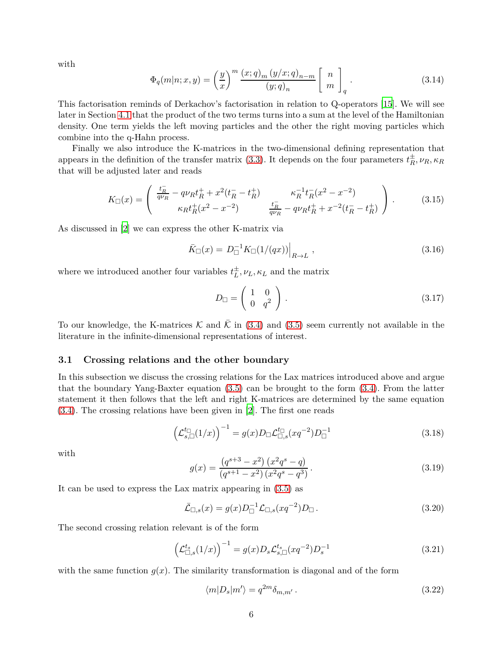with

$$
\Phi_q(m|n;x,y) = \left(\frac{y}{x}\right)^m \frac{(x;q)_m (y/x;q)_{n-m}}{(y;q)_n} \begin{bmatrix} n \\ m \end{bmatrix}_q.
$$
\n(3.14)

This factorisation reminds of Derkachov's factorisation in relation to Q-operators [\[15](#page-14-14)]. We will see later in Section [4.1](#page-7-1) that the product of the two terms turns into a sum at the level of the Hamiltonian density. One term yields the left moving particles and the other the right moving particles which combine into the q-Hahn process.

Finally we also introduce the K-matrices in the two-dimensional defining representation that appears in the definition of the transfer matrix [\(3.3\)](#page-3-4). It depends on the four parameters  $t_R^{\pm}$  $\frac{\pm}{R}$ *, ν*<sub>*R*</sub>*,*  $\kappa$ <sub>*R*</sub> that will be adjusted later and reads

$$
K_{\square}(x) = \begin{pmatrix} \frac{t_R^-}{q\nu_R} - q\nu_R t_R^+ + x^2(t_R^- - t_R^+) & \kappa_R^{-1} t_R^-(x^2 - x^{-2}) \\ \kappa_R t_R^+(x^2 - x^{-2}) & \frac{t_R^-}{q\nu_R} - q\nu_R t_R^+ + x^{-2}(t_R^- - t_R^+) \end{pmatrix} . \tag{3.15}
$$

As discussed in [\[2](#page-14-1)] we can express the other K-matrix via

<span id="page-5-1"></span>
$$
\bar{K}_{\Box}(x) = D_{\Box}^{-1} K_{\Box}(1/(qx)) \Big|_{R \to L}, \qquad (3.16)
$$

where we introduced another four variables  $t_L^{\pm}$  $\frac{1}{L}$ ,  $\nu_L$ ,  $\kappa_L$  and the matrix

$$
D_{\Box} = \left(\begin{array}{cc} 1 & 0 \\ 0 & q^2 \end{array}\right). \tag{3.17}
$$

To our knowledge, the K-matrices K and  $\overline{K}$  in [\(3.4\)](#page-3-5) and [\(3.5\)](#page-3-2) seem currently not available in the literature in the infinite-dimensional representations of interest.

#### <span id="page-5-0"></span>**3.1 Crossing relations and the other boundary**

In this subsection we discuss the crossing relations for the Lax matrices introduced above and argue that the boundary Yang-Baxter equation [\(3.5\)](#page-3-2) can be brought to the form [\(3.4\)](#page-3-5). From the latter statement it then follows that the left and right K-matrices are determined by the same equation [\(3.4\)](#page-3-5). The crossing relations have been given in [\[2](#page-14-1)]. The first one reads

$$
\left(\mathcal{L}_{s,\square}^{\mathit{t}}(1/x)\right)^{-1} = g(x)D_{\square}\mathcal{L}_{\square,s}^{\mathit{t}}(xq^{-2})D_{\square}^{-1}
$$
\n(3.18)

with

$$
g(x) = \frac{(q^{s+3} - x^2) (x^2 q^s - q)}{(q^{s+1} - x^2) (x^2 q^s - q^3)}.
$$
\n(3.19)

It can be used to express the Lax matrix appearing in [\(3.5\)](#page-3-2) as

$$
\bar{\mathcal{L}}_{\Box,s}(x) = g(x)D_{\Box}^{-1}\mathcal{L}_{\Box,s}(xq^{-2})D_{\Box}.
$$
\n(3.20)

The second crossing relation relevant is of the form

$$
\left(\mathcal{L}_{\Box,s}^{t_s}(1/x)\right)^{-1} = g(x)D_s \mathcal{L}_{s,\Box}^{t_s}(xq^{-2})D_s^{-1}
$$
\n(3.21)

with the same function  $q(x)$ . The similarity transformation is diagonal and of the form

<span id="page-5-2"></span>
$$
\langle m|D_s|m'\rangle = q^{2m}\delta_{m,m'}.\tag{3.22}
$$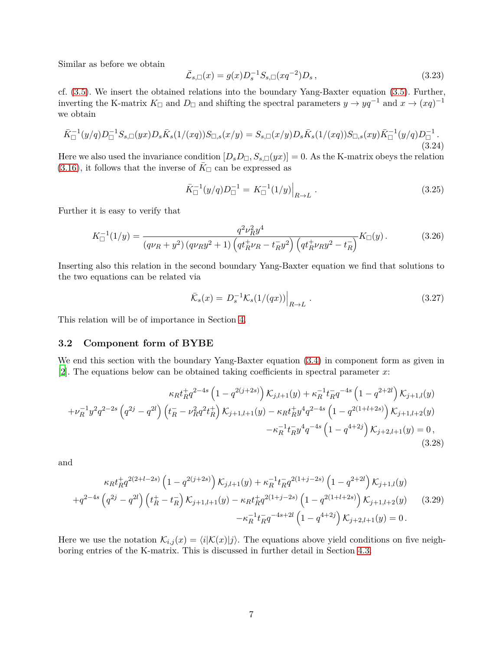Similar as before we obtain

$$
\bar{\mathcal{L}}_{s,\Box}(x) = g(x)D_s^{-1}S_{s,\Box}(xq^{-2})D_s, \qquad (3.23)
$$

cf. [\(3.5\)](#page-3-2). We insert the obtained relations into the boundary Yang-Baxter equation [\(3.5\)](#page-3-2). Further, inverting the K-matrix  $K_{\Box}$  and  $D_{\Box}$  and shifting the spectral parameters  $y \to yq^{-1}$  and  $x \to (xq)^{-1}$ we obtain

$$
\bar{K}_{\Box}^{-1}(y/q)D_{\Box}^{-1}S_{s,\Box}(yx)D_{s}\bar{K}_{s}(1/(xq))S_{\Box,s}(x/y)=S_{s,\Box}(x/y)D_{s}\bar{K}_{s}(1/(xq))S_{\Box,s}(xy)\bar{K}_{\Box}^{-1}(y/q)D_{\Box}^{-1}.
$$
\n(3.24)

Here we also used the invariance condition  $[D_s D_{\Box}, S_{s,\Box}(yx)] = 0$ . As the K-matrix obeys the relation [\(3.16\)](#page-5-1), it follows that the inverse of  $K_{\Box}$  can be expressed as

$$
\bar{K}_{\Box}^{-1}(y/q)D_{\Box}^{-1} = K_{\Box}^{-1}(1/y)\Big|_{R\to L}.
$$
\n(3.25)

Further it is easy to verify that

$$
K_{\Box}^{-1}(1/y) = \frac{q^2 \nu_R^2 y^4}{(q\nu_R + y^2)(q\nu_R y^2 + 1)\left(q t_R^+ \nu_R - t_R^- y^2\right) \left(q t_R^+ \nu_R y^2 - t_R^-\right)} K_{\Box}(y). \tag{3.26}
$$

Inserting also this relation in the second boundary Yang-Baxter equation we find that solutions to the two equations can be related via

$$
\bar{\mathcal{K}}_s(x) = D_s^{-1} \mathcal{K}_s(1/(qx)) \Big|_{R \to L} \ . \tag{3.27}
$$

This relation will be of importance in Section [4.](#page-7-0)

### <span id="page-6-0"></span>**3.2 Component form of BYBE**

We end this section with the boundary Yang-Baxter equation  $(3.4)$  in component form as given in [\[2](#page-14-1)]. The equations below can be obtained taking coefficients in spectral parameter *x*:

<span id="page-6-1"></span>
$$
\kappa_R t_R^+ q^{2-4s} \left(1 - q^{2(j+2s)}\right) \mathcal{K}_{j,l+1}(y) + \kappa_R^{-1} t_R^- q^{-4s} \left(1 - q^{2+2l}\right) \mathcal{K}_{j+1,l}(y) + \nu_R^{-1} y^2 q^{2-2s} \left(q^{2j} - q^{2l}\right) \left(t_R^- - \nu_R^2 q^2 t_R^+\right) \mathcal{K}_{j+1,l+1}(y) - \kappa_R t_R^+ y^4 q^{2-4s} \left(1 - q^{2(1+l+2s)}\right) \mathcal{K}_{j+1,l+2}(y) - \kappa_R^{-1} t_R^- y^4 q^{-4s} \left(1 - q^{4+2j}\right) \mathcal{K}_{j+2,l+1}(y) = 0,
$$
\n(3.28)

and

<span id="page-6-2"></span>
$$
\kappa_R t_R^+ q^{2(2+l-2s)} \left(1 - q^{2(j+2s)}\right) \mathcal{K}_{j,l+1}(y) + \kappa_R^{-1} t_R^{-1} q^{2(1+j-2s)} \left(1 - q^{2+2l}\right) \mathcal{K}_{j+1,l}(y) + q^{2-4s} \left(q^{2j} - q^{2l}\right) \left(t_R^+ - t_R^-\right) \mathcal{K}_{j+1,l+1}(y) - \kappa_R t_R^+ q^{2(1+j-2s)} \left(1 - q^{2(1+l+2s)}\right) \mathcal{K}_{j+1,l+2}(y) \tag{3.29} - \kappa_R^{-1} t_R^{-1} q^{-4s+2l} \left(1 - q^{4+2j}\right) \mathcal{K}_{j+2,l+1}(y) = 0.
$$

Here we use the notation  $\mathcal{K}_{i,j}(x) = \langle i|\mathcal{K}(x)|j\rangle$ . The equations above yield conditions on five neighboring entries of the K-matrix. This is discussed in further detail in Section [4.3.](#page-8-1)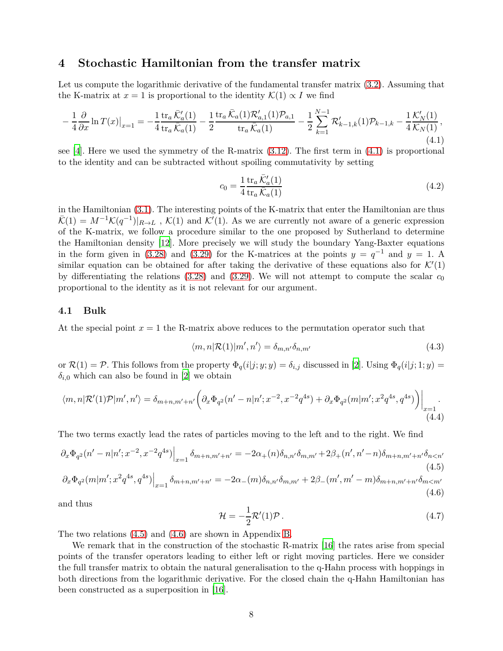### <span id="page-7-0"></span>**4 Stochastic Hamiltonian from the transfer matrix**

Let us compute the logarithmic derivative of the fundamental transfer matrix [\(3.2\)](#page-3-3). Assuming that the K-matrix at  $x = 1$  is proportional to the identity  $\mathcal{K}(1) \propto I$  we find

<span id="page-7-2"></span>
$$
-\frac{1}{4}\frac{\partial}{\partial x}\ln T(x)|_{x=1} = -\frac{1}{4}\frac{\operatorname{tr}_{a}\bar{\mathcal{K}}'_{a}(1)}{\operatorname{tr}_{a}\bar{\mathcal{K}}_{a}(1)} - \frac{1}{2}\frac{\operatorname{tr}_{a}\bar{\mathcal{K}}_{a}(1)\mathcal{R}'_{a,1}(1)\mathcal{P}_{a,1}}{\operatorname{tr}_{a}\bar{\mathcal{K}}_{a}(1)} - \frac{1}{2}\sum_{k=1}^{N-1}\mathcal{R}'_{k-1,k}(1)\mathcal{P}_{k-1,k} - \frac{1}{4}\frac{\mathcal{K}'_{N}(1)}{\mathcal{K}_{N}(1)},
$$
\n(4.1)

see [\[4](#page-14-3)]. Here we used the symmetry of the R-matrix [\(3.12\)](#page-4-0). The first term in [\(4.1\)](#page-7-2) is proportional to the identity and can be subtracted without spoiling commutativity by setting

$$
c_0 = \frac{1}{4} \frac{\text{tr}_a \,\bar{\mathcal{K}}_a'(1)}{\text{tr}_a \,\bar{\mathcal{K}}_a(1)}\tag{4.2}
$$

in the Hamiltonian [\(3.1\)](#page-3-6). The interesting points of the K-matrix that enter the Hamiltonian are thus  $\bar{\mathcal{K}}(1) = M^{-1}\mathcal{K}(q^{-1})|_{R\to L}$ ,  $\mathcal{K}(1)$  and  $\mathcal{K}'(1)$ . As we are currently not aware of a generic expression of the K-matrix, we follow a procedure similar to the one proposed by Sutherland to determine the Hamiltonian density [\[12\]](#page-14-11). More precisely we will study the boundary Yang-Baxter equations in the form given in [\(3.28\)](#page-6-1) and [\(3.29\)](#page-6-2) for the K-matrices at the points  $y = q^{-1}$  and  $y = 1$ . A similar equation can be obtained for after taking the derivative of these equations also for  $\mathcal{K}'(1)$ by differentiating the relations [\(3.28\)](#page-6-1) and [\(3.29\)](#page-6-2). We will not attempt to compute the scalar  $c_0$ proportional to the identity as it is not relevant for our argument.

#### <span id="page-7-1"></span>**4.1 Bulk**

At the special point  $x = 1$  the R-matrix above reduces to the permutation operator such that

$$
\langle m, n | \mathcal{R}(1) | m', n' \rangle = \delta_{m, n'} \delta_{n, m'}
$$
\n(4.3)

or  $\mathcal{R}(1) = \mathcal{P}$ . This follows from the property  $\Phi_q(i|j; y; y) = \delta_{i,j}$  discussed in [\[2\]](#page-14-1). Using  $\Phi_q(i|j; 1; y) =$  $\delta_{i,0}$  which can also be found in [\[2](#page-14-1)] we obtain

$$
\langle m, n | \mathcal{R}'(1) \mathcal{P} | m', n' \rangle = \delta_{m+n, m'+n'} \left( \partial_x \Phi_{q^2}(n'-n | n'; x^{-2}, x^{-2} q^{4s}) + \partial_x \Phi_{q^2}(m | m'; x^2 q^{4s}, q^{4s}) \right) \Big|_{\substack{x=1 \ (4.4)}}
$$

The two terms exactly lead the rates of particles moving to the left and to the right. We find

<span id="page-7-3"></span>
$$
\left. \partial_x \Phi_{q^2}(n'-n|n';x^{-2},x^{-2}q^{4s}) \right|_{x=1} \delta_{m+n,m'+n'} = -2\alpha_+(n)\delta_{n,n'}\delta_{m,m'} + 2\beta_+(n',n'-n)\delta_{m+n,m'+n'}\delta_{n
$$

<span id="page-7-4"></span>
$$
\left. \partial_x \Phi_{q^2}(m|m';x^2q^{4s},q^{4s}) \right|_{x=1} \delta_{m+n,m'+n'} = -2\alpha_-(m)\delta_{n,n'}\delta_{m,m'} + 2\beta_-(m',m'-m)\delta_{m+n,m'+n'}\delta_{m
$$

and thus

$$
\mathcal{H} = -\frac{1}{2}\mathcal{R}'(1)\mathcal{P} \,. \tag{4.7}
$$

The two relations [\(4.5\)](#page-7-3) and [\(4.6\)](#page-7-4) are shown in Appendix [B.](#page-11-0)

We remark that in the construction of the stochastic R-matrix [\[16](#page-14-15)] the rates arise from special points of the transfer operators leading to either left or right moving particles. Here we consider the full transfer matrix to obtain the natural generalisation to the q-Hahn process with hoppings in both directions from the logarithmic derivative. For the closed chain the q-Hahn Hamiltonian has been constructed as a superposition in [\[16](#page-14-15)].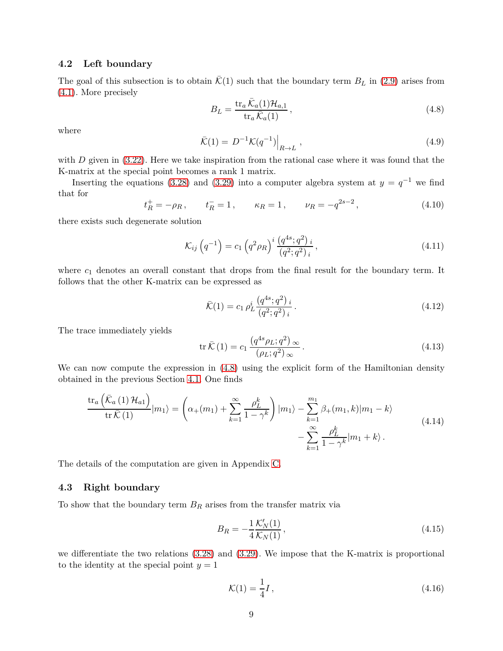#### <span id="page-8-0"></span>**4.2 Left boundary**

The goal of this subsection is to obtain  $\overline{\mathcal{K}}(1)$  such that the boundary term  $B_L$  in [\(2.9\)](#page-3-7) arises from [\(4.1\)](#page-7-2). More precisely

<span id="page-8-2"></span>
$$
B_L = \frac{\operatorname{tr}_a \bar{\mathcal{K}}_a(1) \mathcal{H}_{a,1}}{\operatorname{tr}_a \bar{\mathcal{K}}_a(1)},\tag{4.8}
$$

where

$$
\bar{\mathcal{K}}(1) = D^{-1} \mathcal{K}(q^{-1}) \Big|_{R \to L} , \qquad (4.9)
$$

with *D* given in [\(3.22\)](#page-5-2). Here we take inspiration from the rational case where it was found that the K-matrix at the special point becomes a rank 1 matrix.

Inserting the equations [\(3.28\)](#page-6-1) and [\(3.29\)](#page-6-2) into a computer algebra system at  $y = q^{-1}$  we find that for

$$
t_R^+ = -\rho_R
$$
,  $t_R^- = 1$ ,  $\kappa_R = 1$ ,  $\nu_R = -q^{2s-2}$ , (4.10)

there exists such degenerate solution

$$
\mathcal{K}_{ij}\left(q^{-1}\right) = c_1 \left(q^2 \rho_R\right)^i \frac{\left(q^{4s};q^2\right)_i}{\left(q^2;q^2\right)_i},\tag{4.11}
$$

where  $c_1$  denotes an overall constant that drops from the final result for the boundary term. It follows that the other K-matrix can be expressed as

$$
\bar{\mathcal{K}}(1) = c_1 \, \rho_L^i \, \frac{\left(q^{4s}; q^2\right)_i}{\left(q^2; q^2\right)_i} \,. \tag{4.12}
$$

The trace immediately yields

$$
\operatorname{tr}\bar{\mathcal{K}}\left(1\right) = c_1 \, \frac{\left(q^{4s}\rho_L; q^2\right)_{\infty}}{\left(\rho_L; q^2\right)_{\infty}}\,. \tag{4.13}
$$

We can now compute the expression in  $(4.8)$  using the explicit form of the Hamiltonian density obtained in the previous Section [4.1.](#page-7-1) One finds

<span id="page-8-4"></span>
$$
\frac{\operatorname{tr}_{a}\left(\bar{\mathcal{K}}_{a}\left(1\right)\mathcal{H}_{a1}\right)}{\operatorname{tr}\bar{\mathcal{K}}\left(1\right)}|m_{1}\rangle = \left(\alpha_{+}(m_{1}) + \sum_{k=1}^{\infty} \frac{\rho_{L}^{k}}{1-\gamma^{k}}\right)|m_{1}\rangle - \sum_{k=1}^{m_{1}} \beta_{+}(m_{1},k)|m_{1} - k\rangle - \sum_{k=1}^{\infty} \frac{\rho_{L}^{k}}{1-\gamma^{k}}|m_{1} + k\rangle.
$$
\n(4.14)

The details of the computation are given in Appendix [C.](#page-13-0)

#### <span id="page-8-1"></span>**4.3 Right boundary**

To show that the boundary term *B<sup>R</sup>* arises from the transfer matrix via

<span id="page-8-3"></span>
$$
B_R = -\frac{1}{4} \frac{\mathcal{K}'_N(1)}{\mathcal{K}_N(1)}\,,\tag{4.15}
$$

we differentiate the two relations [\(3.28\)](#page-6-1) and [\(3.29\)](#page-6-2). We impose that the K-matrix is proportional to the identity at the special point  $y = 1$ 

$$
\mathcal{K}(1) = \frac{1}{4}I,\tag{4.16}
$$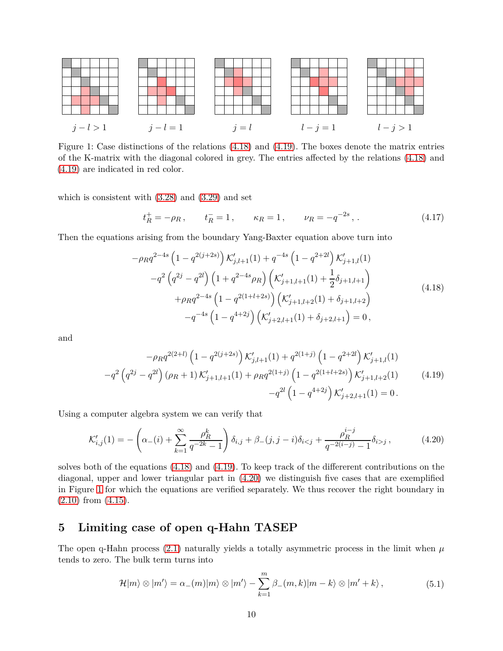<span id="page-9-4"></span>

Figure 1: Case distinctions of the relations [\(4.18\)](#page-9-1) and [\(4.19\)](#page-9-2). The boxes denote the matrix entries of the K-matrix with the diagonal colored in grey. The entries affected by the relations [\(4.18\)](#page-9-1) and [\(4.19\)](#page-9-2) are indicated in red color.

which is consistent with  $(3.28)$  and  $(3.29)$  and set

$$
t_R^+ = -\rho_R
$$
,  $t_R^- = 1$ ,  $\kappa_R = 1$ ,  $\nu_R = -q^{-2s}$ , (4.17)

<span id="page-9-1"></span>Then the equations arising from the boundary Yang-Baxter equation above turn into

$$
-\rho_R q^{2-4s} \left(1 - q^{2(j+2s)}\right) \mathcal{K}'_{j,l+1}(1) + q^{-4s} \left(1 - q^{2+2l}\right) \mathcal{K}'_{j+1,l}(1) -q^2 \left(q^{2j} - q^{2l}\right) \left(1 + q^{2-4s} \rho_R\right) \left(\mathcal{K}'_{j+1,l+1}(1) + \frac{1}{2}\delta_{j+1,l+1}\right) + \rho_R q^{2-4s} \left(1 - q^{2(1+l+2s)}\right) \left(\mathcal{K}'_{j+1,l+2}(1) + \delta_{j+1,l+2}\right) -q^{-4s} \left(1 - q^{4+2j}\right) \left(\mathcal{K}'_{j+2,l+1}(1) + \delta_{j+2,l+1}\right) = 0,
$$
\n
$$
(4.18)
$$

<span id="page-9-2"></span>and

$$
-\rho_R q^{2(2+l)} \left(1 - q^{2(j+2s)}\right) \mathcal{K}'_{j,l+1}(1) + q^{2(1+j)} \left(1 - q^{2+2l}\right) \mathcal{K}'_{j+1,l}(1) -q^2 \left(q^{2j} - q^{2l}\right) (\rho_R + 1) \mathcal{K}'_{j+1,l+1}(1) + \rho_R q^{2(1+j)} \left(1 - q^{2(1+l+2s)}\right) \mathcal{K}'_{j+1,l+2}(1) -q^{2l} \left(1 - q^{4+2j}\right) \mathcal{K}'_{j+2,l+1}(1) = 0.
$$
\n(4.19)

Using a computer algebra system we can verify that

<span id="page-9-3"></span>
$$
\mathcal{K}'_{i,j}(1) = -\left(\alpha_-(i) + \sum_{k=1}^{\infty} \frac{\rho_R^k}{q^{-2k} - 1}\right) \delta_{i,j} + \beta_-(j, j - i)\delta_{i < j} + \frac{\rho_R^{i-j}}{q^{-2(i-j)} - 1} \delta_{i > j},\tag{4.20}
$$

solves both of the equations [\(4.18\)](#page-9-1) and [\(4.19\)](#page-9-2). To keep track of the differerent contributions on the diagonal, upper and lower triangular part in [\(4.20\)](#page-9-3) we distinguish five cases that are exemplified in Figure [1](#page-9-4) for which the equations are verified separately. We thus recover the right boundary in [\(2.10\)](#page-3-8) from [\(4.15\)](#page-8-3).

## <span id="page-9-0"></span>**5 Limiting case of open q-Hahn TASEP**

The open q-Hahn process  $(2.1)$  naturally yields a totally asymmetric process in the limit when  $\mu$ tends to zero. The bulk term turns into

$$
\mathcal{H}|m\rangle \otimes |m'\rangle = \alpha_{-}(m)|m\rangle \otimes |m'\rangle - \sum_{k=1}^{m} \beta_{-}(m,k)|m-k\rangle \otimes |m' + k\rangle, \qquad (5.1)
$$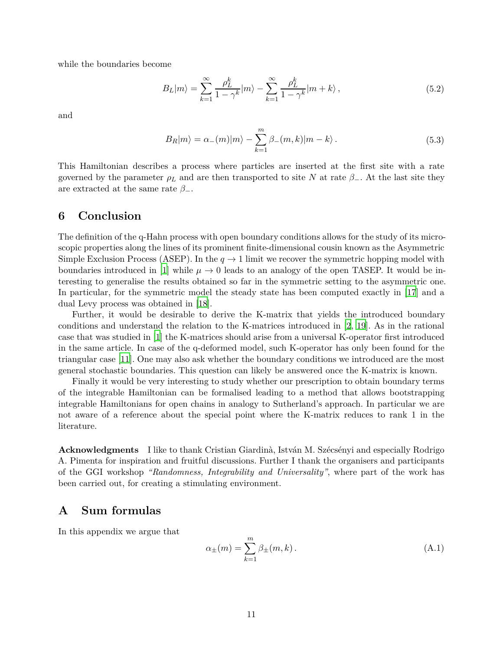while the boundaries become

$$
B_L|m\rangle = \sum_{k=1}^{\infty} \frac{\rho_L^k}{1 - \gamma^k} |m\rangle - \sum_{k=1}^{\infty} \frac{\rho_L^k}{1 - \gamma^k} |m + k\rangle, \qquad (5.2)
$$

and

$$
B_R|m\rangle = \alpha_-(m)|m\rangle - \sum_{k=1}^m \beta_-(m,k)|m-k\rangle.
$$
 (5.3)

This Hamiltonian describes a process where particles are inserted at the first site with a rate governed by the parameter  $\rho_L$  and are then transported to site *N* at rate  $\beta$ <sub>−</sub>. At the last site they are extracted at the same rate  $\beta$ <sub>−</sub>.

### <span id="page-10-0"></span>**6 Conclusion**

The definition of the q-Hahn process with open boundary conditions allows for the study of its microscopic properties along the lines of its prominent finite-dimensional cousin known as the Asymmetric Simple Exclusion Process (ASEP). In the  $q \to 1$  limit we recover the symmetric hopping model with boundaries introduced in [\[1](#page-14-0)] while  $\mu \to 0$  leads to an analogy of the open TASEP. It would be interesting to generalise the results obtained so far in the symmetric setting to the asymmetric one. In particular, for the symmetric model the steady state has been computed exactly in [\[17\]](#page-14-16) and a dual Levy process was obtained in [\[18](#page-14-17)].

Further, it would be desirable to derive the K-matrix that yields the introduced boundary conditions and understand the relation to the K-matrices introduced in [\[2](#page-14-1), [19](#page-15-0)]. As in the rational case that was studied in [\[1](#page-14-0)] the K-matrices should arise from a universal K-operator first introduced in the same article. In case of the q-deformed model, such K-operator has only been found for the triangular case [\[11\]](#page-14-10). One may also ask whether the boundary conditions we introduced are the most general stochastic boundaries. This question can likely be answered once the K-matrix is known.

Finally it would be very interesting to study whether our prescription to obtain boundary terms of the integrable Hamiltonian can be formalised leading to a method that allows bootstrapping integrable Hamiltonians for open chains in analogy to Sutherland's approach. In particular we are not aware of a reference about the special point where the K-matrix reduces to rank 1 in the literature.

**Acknowledgments** I like to thank Cristian Giardinà, István M. Szécsényi and especially Rodrigo A. Pimenta for inspiration and fruitful discussions. Further I thank the organisers and participants of the GGI workshop *"Randomness, Integrability and Universality"*, where part of the work has been carried out, for creating a stimulating environment.

### <span id="page-10-1"></span>**A Sum formulas**

In this appendix we argue that

$$
\alpha_{\pm}(m) = \sum_{k=1}^{m} \beta_{\pm}(m, k).
$$
 (A.1)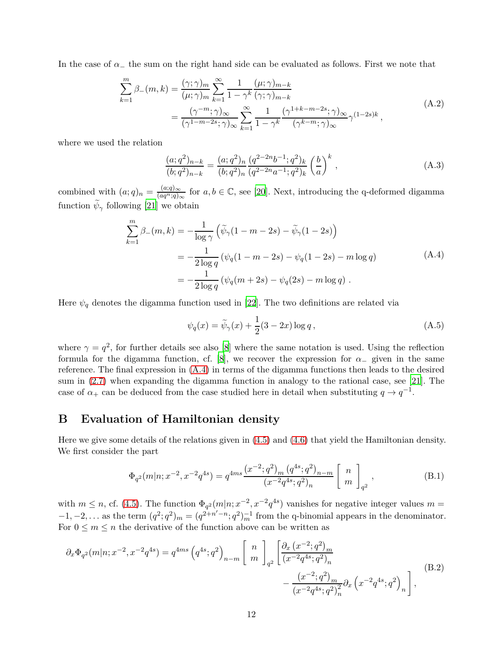In the case of  $\alpha_-\,$  the sum on the right hand side can be evaluated as follows. First we note that

$$
\sum_{k=1}^{m} \beta_{-}(m,k) = \frac{(\gamma;\gamma)_{m}}{(\mu;\gamma)_{m}} \sum_{k=1}^{\infty} \frac{1}{1 - \gamma^{k}} \frac{(\mu;\gamma)_{m-k}}{(\gamma;\gamma)_{m-k}}
$$
\n
$$
= \frac{(\gamma^{-m};\gamma)_{\infty}}{(\gamma^{1-m-2s};\gamma)_{\infty}} \sum_{k=1}^{\infty} \frac{1}{1 - \gamma^{k}} \frac{(\gamma^{1+k-m-2s};\gamma)_{\infty}}{(\gamma^{k-m};\gamma)_{\infty}} \gamma^{(1-2s)k},
$$
\n(A.2)

where we used the relation

$$
\frac{(a;q^2)_{n-k}}{(b;q^2)_{n-k}} = \frac{(a;q^2)_n}{(b;q^2)_n} \frac{(q^{2-2n}b^{-1};q^2)_k}{(q^{2-2n}a^{-1};q^2)_k} \left(\frac{b}{a}\right)^k,
$$
\n(A.3)

combined with  $(a;q)_n = \frac{(a;q)_{\infty}}{(aq^n;q)_{\infty}}$  for  $a, b \in \mathbb{C}$ , see [\[20](#page-15-1)]. Next, introducing the q-deformed digamma function  $\psi_{\gamma}$  following [\[21](#page-15-2)] we obtain

$$
\sum_{k=1}^{m} \beta_{-}(m,k) = -\frac{1}{\log \gamma} \left( \tilde{\psi}_{\gamma}(1 - m - 2s) - \tilde{\psi}_{\gamma}(1 - 2s) \right)
$$
  
= 
$$
-\frac{1}{2 \log q} \left( \psi_{q}(1 - m - 2s) - \psi_{q}(1 - 2s) - m \log q \right)
$$
  
= 
$$
-\frac{1}{2 \log q} \left( \psi_{q}(m + 2s) - \psi_{q}(2s) - m \log q \right).
$$
 (A.4)

<span id="page-11-1"></span>Here  $\psi_q$  denotes the digamma function used in [\[22\]](#page-15-3). The two definitions are related via

$$
\psi_q(x) = \widetilde{\psi}_\gamma(x) + \frac{1}{2}(3 - 2x) \log q, \qquad (A.5)
$$

where  $\gamma = q^2$ , for further details see also [\[8](#page-14-7)] where the same notation is used. Using the reflection formula for the digamma function, cf. [\[8](#page-14-7)], we recover the expression for  $\alpha_-\,$  given in the same reference. The final expression in [\(A.4\)](#page-11-1) in terms of the digamma functions then leads to the desired sum in [\(2.7\)](#page-2-5) when expanding the digamma function in analogy to the rational case, see [\[21](#page-15-2)]. The case of  $\alpha_+$  can be deduced from the case studied here in detail when substituting  $q \to q^{-1}$ .

### <span id="page-11-0"></span>**B Evaluation of Hamiltonian density**

Here we give some details of the relations given in [\(4.5\)](#page-7-3) and [\(4.6\)](#page-7-4) that yield the Hamiltonian density. We first consider the part

$$
\Phi_{q^2}(m|n;x^{-2},x^{-2}q^{4s}) = q^{4ms} \frac{(x^{-2};q^2)_m (q^{4s};q^2)_{n-m}}{(x^{-2}q^{4s};q^2)_n} \begin{bmatrix} n \\ m \end{bmatrix}_{q^2},
$$
\n(B.1)

with  $m \leq n$ , cf. [\(4.5\)](#page-7-3). The function  $\Phi_{q^2}(m|n; x^{-2}, x^{-2}q^{4s})$  vanishes for negative integer values  $m =$  $-1, -2, \ldots$  as the term  $(q^2; q^2)_{m} = (q^{2+n'-n}; q^2)_{m}^{-1}$  from the q-binomial appears in the denominator. For  $0 \leq m \leq n$  the derivative of the function above can be written as

$$
\partial_x \Phi_{q^2}(m|n; x^{-2}, x^{-2}q^{4s}) = q^{4ms} \left(q^{4s}; q^2\right)_{n-m} \begin{bmatrix} n \\ m \end{bmatrix}_{q^2} \left[ \frac{\partial_x (x^{-2}; q^2)_m}{(x^{-2}q^{4s}; q^2)_n} - \frac{(x^{-2}; q^2)_m}{(x^{-2}q^{4s}; q^2)_n^2} \partial_x \left(x^{-2}q^{4s}; q^2\right)_n \right],
$$
\n(B.2)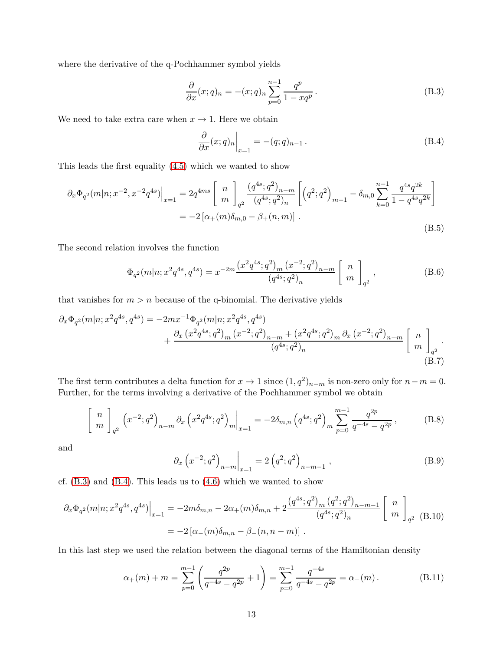where the derivative of the q-Pochhammer symbol yields

<span id="page-12-0"></span>
$$
\frac{\partial}{\partial x}(x;q)_n = -(x;q)_n \sum_{p=0}^{n-1} \frac{q^p}{1 - xq^p}.
$$
\n(B.3)

We need to take extra care when  $x \to 1$ . Here we obtain

<span id="page-12-1"></span>
$$
\left. \frac{\partial}{\partial x}(x;q)_n \right|_{x=1} = -(q;q)_{n-1} . \tag{B.4}
$$

This leads the first equality [\(4.5\)](#page-7-3) which we wanted to show

$$
\partial_x \Phi_{q^2}(m|n; x^{-2}, x^{-2}q^{4s})\Big|_{x=1} = 2q^{4ms} \left[ \begin{array}{c} n \\ m \end{array} \right]_{q^2} \frac{\left(q^{4s}; q^2\right)_{n-m}}{\left(q^{4s}; q^2\right)_n} \left[ \left(q^2; q^2\right)_{m-1} - \delta_{m,0} \sum_{k=0}^{n-1} \frac{q^{4s}q^{2k}}{1-q^{4s}q^{2k}} \right]
$$
  
=  $-2\left[ \alpha_+(m)\delta_{m,0} - \beta_+(n,m) \right].$  (B.5)

The second relation involves the function

$$
\Phi_{q^2}(m|n;x^2q^{4s},q^{4s}) = x^{-2m} \frac{\left(x^2q^{4s};q^2\right)_m (x^{-2};q^2)_{n-m}}{\left(q^{4s};q^2\right)_n} \begin{bmatrix} n \\ m \end{bmatrix}_{q^2},\tag{B.6}
$$

that vanishes for  $m > n$  because of the q-binomial. The derivative yields

$$
\partial_x \Phi_{q^2}(m|n; x^2 q^{4s}, q^{4s}) = -2mx^{-1} \Phi_{q^2}(m|n; x^2 q^{4s}, q^{4s}) + \frac{\partial_x (x^2 q^{4s}; q^2)_m (x^{-2}; q^2)_{n-m} + (x^2 q^{4s}; q^2)_m \partial_x (x^{-2}; q^2)_{n-m}}{(q^{4s}; q^2)_n} \begin{bmatrix} n \\ m \end{bmatrix}_{q^2}.
$$
\n(B.7)

The first term contributes a delta function for  $x \to 1$  since  $(1, q^2)_{n-m}$  is non-zero only for  $n-m=0$ . Further, for the terms involving a derivative of the Pochhammer symbol we obtain

$$
\left[\begin{array}{c} n \\ m \end{array}\right]_{q^2} \left(x^{-2};q^2\right)_{n-m} \partial_x \left(x^2 q^{4s};q^2\right)_m \Big|_{x=1} = -2\delta_{m,n} \left(q^{4s};q^2\right)_m \sum_{p=0}^{m-1} \frac{q^{2p}}{q^{-4s} - q^{2p}},\tag{B.8}
$$

and

$$
\partial_x \left( x^{-2}; q^2 \right)_{n-m} \Big|_{x=1} = 2 \left( q^2; q^2 \right)_{n-m-1}, \tag{B.9}
$$

cf.  $(B.3)$  and  $(B.4)$ . This leads us to  $(4.6)$  which we wanted to show

$$
\partial_x \Phi_{q^2}(m|n; x^2 q^{4s}, q^{4s})\Big|_{x=1} = -2m\delta_{m,n} - 2\alpha_+(m)\delta_{m,n} + 2\frac{(q^{4s}; q^2)_m (q^2; q^2)_{n-m-1}}{(q^{4s}; q^2)_n} \begin{bmatrix} n \\ m \end{bmatrix}_{q^2}
$$
(B.10)  
=  $-2[\alpha_-(m)\delta_{m,n} - \beta_-(n, n-m)]$ .

In this last step we used the relation between the diagonal terms of the Hamiltonian density

$$
\alpha_{+}(m) + m = \sum_{p=0}^{m-1} \left( \frac{q^{2p}}{q^{-4s} - q^{2p}} + 1 \right) = \sum_{p=0}^{m-1} \frac{q^{-4s}}{q^{-4s} - q^{2p}} = \alpha_{-}(m). \tag{B.11}
$$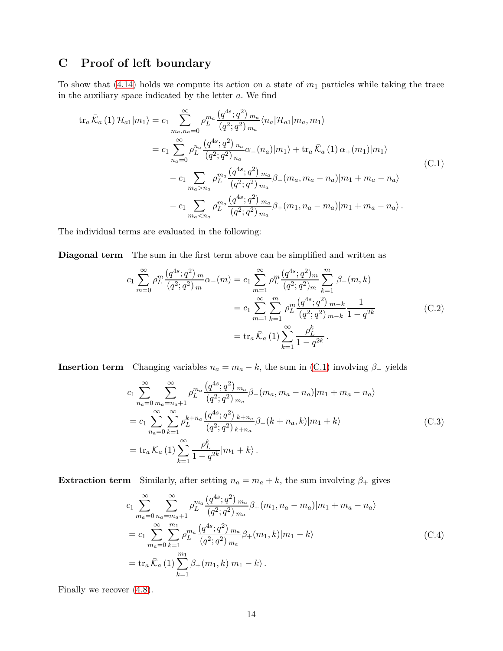## <span id="page-13-0"></span>**C Proof of left boundary**

To show that  $(4.14)$  holds we compute its action on a state of  $m_1$  particles while taking the trace in the auxiliary space indicated by the letter *a*. We find

<span id="page-13-1"></span>
$$
tr_{a}\bar{K}_{a}(1) \mathcal{H}_{a1}|m_{1}\rangle = c_{1} \sum_{m_{a},n_{a}=0}^{\infty} \rho_{L}^{m_{a}} \frac{(q^{4s};q^{2})_{m_{a}}}{(q^{2};q^{2})_{m_{a}}} \langle n_{a} | \mathcal{H}_{a1}|m_{a}, m_{1} \rangle
$$
  
\n
$$
= c_{1} \sum_{n_{a}=0}^{\infty} \rho_{L}^{n_{a}} \frac{(q^{4s};q^{2})_{n_{a}}}{(q^{2};q^{2})_{n_{a}}} \alpha_{-}(n_{a})|m_{1}\rangle + tr_{a} \bar{K}_{a}(1) \alpha_{+}(m_{1})|m_{1}\rangle
$$
  
\n
$$
- c_{1} \sum_{m_{a}>n_{a}} \rho_{L}^{m_{a}} \frac{(q^{4s};q^{2})_{m_{a}}}{(q^{2};q^{2})_{m_{a}}} \beta_{-}(m_{a},m_{a}-n_{a})|m_{1}+m_{a}-n_{a}\rangle
$$
  
\n
$$
- c_{1} \sum_{m_{a} (C.1)
$$

The individual terms are evaluated in the following:

**Diagonal term** The sum in the first term above can be simplified and written as

$$
c_1 \sum_{m=0}^{\infty} \rho_L^m \frac{\left(q^{4s}; q^2\right)_m}{\left(q^2; q^2\right)_m} \alpha_{-}(m) = c_1 \sum_{m=1}^{\infty} \rho_L^m \frac{\left(q^{4s}; q^2\right)_m}{\left(q^2; q^2\right)_m} \sum_{k=1}^m \beta_{-}(m, k)
$$

$$
= c_1 \sum_{m=1}^{\infty} \sum_{k=1}^m \rho_L^m \frac{\left(q^{4s}; q^2\right)_{m-k}}{\left(q^2; q^2\right)_{m-k}} \frac{1}{1 - q^{2k}}
$$

$$
= \text{tr}_a \bar{\mathcal{K}}_a \left(1\right) \sum_{k=1}^{\infty} \frac{\rho_L^k}{1 - q^{2k}}.
$$
(C.2)

**Insertion term** Changing variables  $n_a = m_a - k$ , the sum in [\(C.1\)](#page-13-1) involving  $\beta$ <sub>−</sub> yields

$$
c_{1} \sum_{n_{a}=0}^{\infty} \sum_{m_{a}=n_{a}+1}^{\infty} \rho_{L}^{m_{a}} \frac{(q^{4s}; q^{2})_{m_{a}}}{(q^{2}; q^{2})_{m_{a}}} \beta_{-}(m_{a}, m_{a} - n_{a}) |m_{1} + m_{a} - n_{a} \rangle
$$
  
\n
$$
= c_{1} \sum_{n_{a}=0}^{\infty} \sum_{k=1}^{\infty} \rho_{L}^{k+n_{a}} \frac{(q^{4s}; q^{2})_{k+n_{a}}}{(q^{2}; q^{2})_{k+n_{a}}} \beta_{-}(k+n_{a}, k) |m_{1} + k \rangle
$$
  
\n
$$
= \text{tr}_{a} \bar{\mathcal{K}}_{a} (1) \sum_{k=1}^{\infty} \frac{\rho_{L}^{k}}{1 - q^{2k}} |m_{1} + k \rangle . \tag{C.3}
$$

**Extraction term** Similarly, after setting  $n_a = m_a + k$ , the sum involving  $\beta_+$  gives

$$
c_{1} \sum_{m_{a}=0}^{\infty} \sum_{n_{a}=m_{a}+1}^{\infty} \rho_{L}^{m_{a}} \frac{(q^{4s};q^{2})_{m_{a}}}{(q^{2};q^{2})_{m_{a}}} \beta_{+}(m_{1}, n_{a}-m_{a}) |m_{1}+m_{a}-n_{a} \rangle
$$
  
= 
$$
c_{1} \sum_{m_{a}=0}^{\infty} \sum_{k=1}^{m_{1}} \rho_{L}^{m_{a}} \frac{(q^{4s};q^{2})_{m_{a}}}{(q^{2};q^{2})_{m_{a}}} \beta_{+}(m_{1}, k) |m_{1}-k \rangle
$$
  
= 
$$
\text{tr}_{a} \bar{\mathcal{K}}_{a} (1) \sum_{k=1}^{m_{1}} \beta_{+}(m_{1}, k) |m_{1}-k \rangle.
$$
 (C.4)

Finally we recover [\(4.8\)](#page-8-2).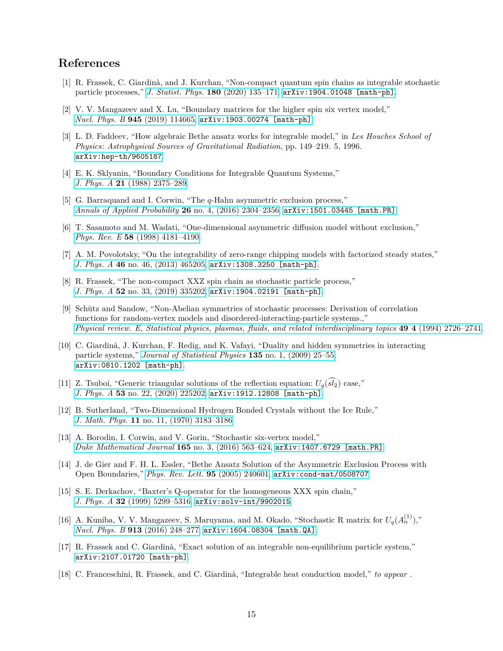## **References**

- <span id="page-14-0"></span>[1] R. Frassek, C. Giardinà, and J. Kurchan, "Non-compact quantum spin chains as integrable stochastic particle processes," *[J. Statist. Phys.](http://dx.doi.org/10.1007/s10955-019-02375-4)* **180** (2020) 135–171, [arXiv:1904.01048 \[math-ph\]](http://arxiv.org/abs/1904.01048).
- <span id="page-14-1"></span>[2] V. V. Mangazeev and X. Lu, "Boundary matrices for the higher spin six vertex model," *Nucl. Phys. B* **945** [\(2019\) 114665,](http://dx.doi.org/10.1016/j.nuclphysb.2019.114665) [arXiv:1903.00274 \[math-ph\]](http://arxiv.org/abs/1903.00274).
- <span id="page-14-2"></span>[3] L. D. Faddeev, "How algebraic Bethe ansatz works for integrable model," in *Les Houches School of Physics: Astrophysical Sources of Gravitational Radiation*, pp. 149–219. 5, 1996. [arXiv:hep-th/9605187](http://arxiv.org/abs/hep-th/9605187).
- <span id="page-14-3"></span>[4] E. K. Sklyanin, "Boundary Conditions for Integrable Quantum Systems," *J. Phys. A* **21** [\(1988\) 2375–289.](http://dx.doi.org/10.1088/0305-4470/21/10/015)
- <span id="page-14-6"></span>[5] G. Barraquand and I. Corwin, "The *q*-Hahn asymmetric exclusion process," *[Annals of Applied Probability](http://dx.doi.org/10.1214/15-AAP1148)* **26** no. 4, (2016) 2304–2356, [arXiv:1501.03445 \[math.PR\]](http://arxiv.org/abs/1501.03445).
- <span id="page-14-4"></span>[6] T. Sasamoto and M. Wadati, "One-dimensional asymmetric diffusion model without exclusion," *Phys. Rev. E* **58** [\(1998\) 4181–4190.](http://dx.doi.org/10.1103/PhysRevE.58.4181)
- <span id="page-14-5"></span>[7] A. M. Povolotsky, "On the integrability of zero-range chipping models with factorized steady states," *J. Phys. A* **46** [no. 46, \(2013\) 465205,](http://dx.doi.org/10.1088/1751-8113/46/46/465205) [arXiv:1308.3250 \[math-ph\]](http://arxiv.org/abs/1308.3250).
- <span id="page-14-7"></span>[8] R. Frassek, "The non-compact XXZ spin chain as stochastic particle process," *J. Phys. A* **52** [no. 33, \(2019\) 335202,](http://dx.doi.org/10.1088/1751-8121/ab2fb1) [arXiv:1904.02191 \[math-ph\]](http://arxiv.org/abs/1904.02191).
- <span id="page-14-8"></span>[9] Schütz and Sandow, "Non-Abelian symmetries of stochastic processes: Derivation of correlation functions for random-vertex models and disordered-interacting-particle systems.," *[Physical review. E, Statistical physics, plasmas, fluids, and related interdisciplinary topics](http://dx.doi.org/10.1103/PhysRevE.49.2726)* **49 4** (1994) 2726–2741.
- <span id="page-14-9"></span>[10] C. Giardinà, J. Kurchan, F. Redig, and K. Vafayi, "Duality and hidden symmetries in interacting particle systems," *[Journal of Statistical Physics](http://dx.doi.org/10.1007/s10955-009-9716-2)* **135** no. 1, (2009) 25–55, [arXiv:0810.1202 \[math-ph\]](http://arxiv.org/abs/0810.1202).
- <span id="page-14-10"></span>[11] Z. Tsuboi, "Generic triangular solutions of the reflection equation:  $U_q(s_l)$  case," *J. Phys. A* **53** [no. 22, \(2020\) 225202,](http://dx.doi.org/10.1088/1751-8121/ab8853) [arXiv:1912.12808 \[math-ph\]](http://arxiv.org/abs/1912.12808).
- <span id="page-14-11"></span>[12] B. Sutherland, "Two-Dimensional Hydrogen Bonded Crystals without the Ice Rule," *J. Math. Phys.* **11** [no. 11, \(1970\) 3183–3186.](http://dx.doi.org/10.1063/1.1665111)
- <span id="page-14-12"></span>[13] A. Borodin, I. Corwin, and V. Gorin, "Stochastic six-vertex model," *[Duke Mathematical Journal](http://dx.doi.org/10.48550/arXiv.1407.6729)* **165** no. 3, (2016) 563–624, [arXiv:1407.6729 \[math.PR\]](http://arxiv.org/abs/1407.6729).
- <span id="page-14-13"></span>[14] J. de Gier and F. H. L. Essler, "Bethe Ansatz Solution of the Asymmetric Exclusion Process with Open Boundaries," *[Phys. Rev. Lett.](http://dx.doi.org/10.1103/PhysRevLett.95.240601)* **95** (2005) 240601, [arXiv:cond-mat/0508707](http://arxiv.org/abs/cond-mat/0508707).
- <span id="page-14-14"></span>[15] S. E. Derkachov, "Baxter's Q-operator for the homogeneous XXX spin chain," *J. Phys. A* **32** [\(1999\) 5299–5316,](http://dx.doi.org/10.1088/0305-4470/32/28/309) [arXiv:solv-int/9902015](http://arxiv.org/abs/solv-int/9902015).
- <span id="page-14-15"></span>[16] A. Kuniba, V. V. Mangazeev, S. Maruyama, and M. Okado, "Stochastic R matrix for  $U_q(A_n^{(1)})$ ," *Nucl. Phys. B* **913** [\(2016\) 248–277,](http://dx.doi.org/10.1016/j.nuclphysb.2016.09.016) [arXiv:1604.08304 \[math.QA\]](http://arxiv.org/abs/1604.08304).
- <span id="page-14-16"></span>[17] R. Frassek and C. Giardinà, "Exact solution of an integrable non-equilibrium particle system," [arXiv:2107.01720 \[math-ph\]](http://arxiv.org/abs/2107.01720).
- <span id="page-14-17"></span>[18] C. Franceschini, R. Frassek, and C. Giardinà, "Integrable heat conduction model," *to appear* .